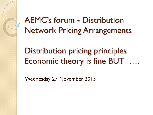AEMC's forum - Distribution Network Pricing Arrangements

## Distribution pricing principles Economic theory is fine BUT ….

Wednesday 27 November 2013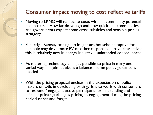## Consumer impact moving to cost reflective tariffs

- Moving to LRMC will reallocate costs within a community potential big impacts - How far do you go and how quick - all communities and governments expect some cross subsidies and sensible pricing stratgery
- Similarly Ramsey pricing no longer are households captive for example may drive more PV or other responses – have alternatives this is relatively new in energy industry – unintended consequences.
- As metering technology changes possible to price in many and varied ways – again it's about a balance - some policy guidance is needed
- With the pricing proposal unclear in the expectation of policy makers on DBs in developing pricing. Is it to work with consumers to respond / engage as active participants or just sending and efficient price signal– eg is pricing an engagement during the pricing period or set and forget.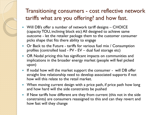## Transitioning consumers - cost reflective network tariffs what are you offering? and how fast.

- Will DB's offer a number of network tariff designs CHOICE (capacity TOU, inclining block etc) All designed to achieve same outcome - let the retailer package them to the customer consumer picks shape that fits there ability to engage
- Or Back to the Future tariffs for various fuel mix / Consumption profiles (controlled load - PV - EV – dual fuel storage etc)
- OR Nodal pricing this has significant impacts on communities and implications in the broader energy market (people will feel picked upon)
- If nodal how will the market support the consumer will DB offer straight line relationship need to develop associated supports if not how will this relate to the retail market.
- When moving current design with a price path, if price path how long and how hard will the side constraints be pushed
- If New tariffs how different are they from current (this not in the side constraints) are consumers reassigned to this and can they revert and how fast will they change